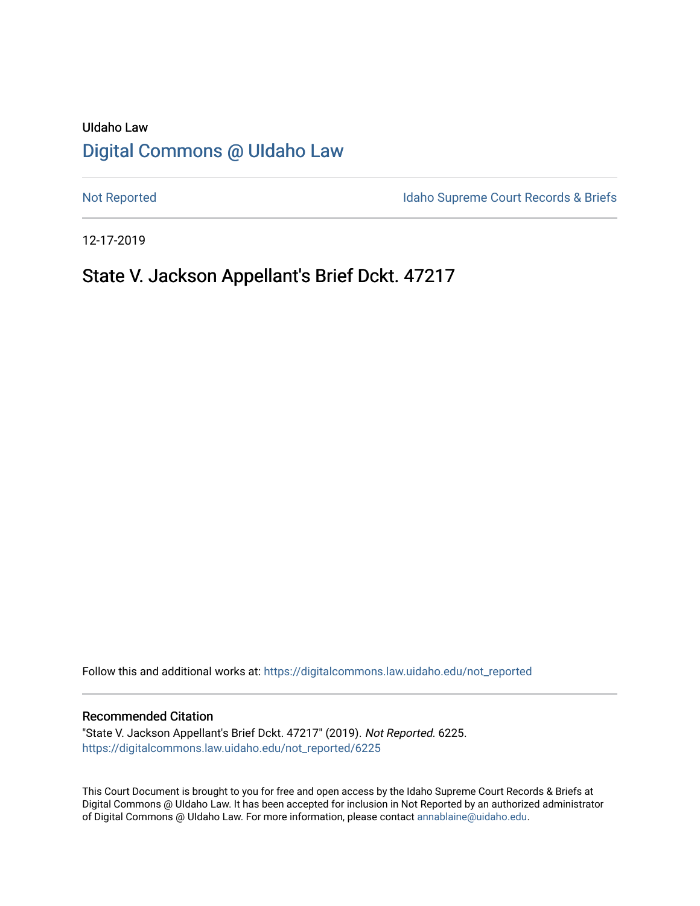# UIdaho Law [Digital Commons @ UIdaho Law](https://digitalcommons.law.uidaho.edu/)

[Not Reported](https://digitalcommons.law.uidaho.edu/not_reported) **Idaho Supreme Court Records & Briefs** 

12-17-2019

# State V. Jackson Appellant's Brief Dckt. 47217

Follow this and additional works at: [https://digitalcommons.law.uidaho.edu/not\\_reported](https://digitalcommons.law.uidaho.edu/not_reported?utm_source=digitalcommons.law.uidaho.edu%2Fnot_reported%2F6225&utm_medium=PDF&utm_campaign=PDFCoverPages) 

#### Recommended Citation

"State V. Jackson Appellant's Brief Dckt. 47217" (2019). Not Reported. 6225. [https://digitalcommons.law.uidaho.edu/not\\_reported/6225](https://digitalcommons.law.uidaho.edu/not_reported/6225?utm_source=digitalcommons.law.uidaho.edu%2Fnot_reported%2F6225&utm_medium=PDF&utm_campaign=PDFCoverPages)

This Court Document is brought to you for free and open access by the Idaho Supreme Court Records & Briefs at Digital Commons @ UIdaho Law. It has been accepted for inclusion in Not Reported by an authorized administrator of Digital Commons @ UIdaho Law. For more information, please contact [annablaine@uidaho.edu](mailto:annablaine@uidaho.edu).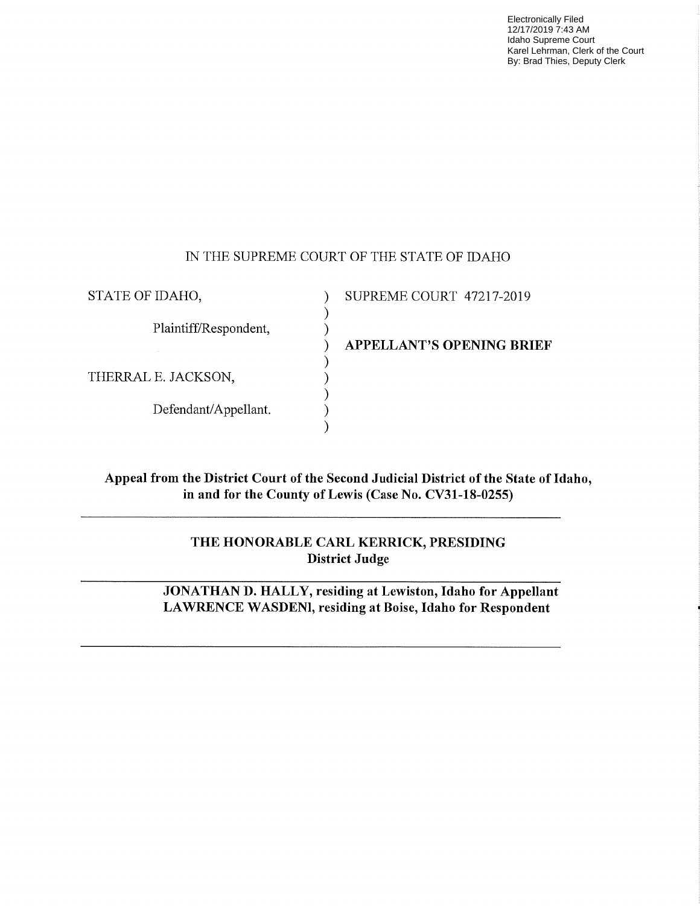Electronically Filed 12/17/2019 7:43 AM Idaho Supreme Court Karel Lehrman, Clerk of the Court By: Brad Thies, Deputy Clerk

### IN THE SUPREME COURT OF THE STATE OF IDAHO

) )

> ) ) ) ) )

STATE OF IDAHO,

Plaintiff/Respondent,

THERRAL E. JACKSON,

Defendant/Appellant.

) SUPREME COURT 47217-2019

) **APPELLANT'S OPENING BRIEF** 

**Appeal from the District Court of the Second Judicial District of the State of Idaho, in and for the County of Lewis (Case No. CV31-18-0255)** 

> **THE HONORABLE CARL KERRICK, PRESIDING District Judge**

**JONATHAN D. HALLY, residing at Lewiston, Idaho for Appellant LA WREN CE WASDENl, residing at Boise, Idaho for Respondent**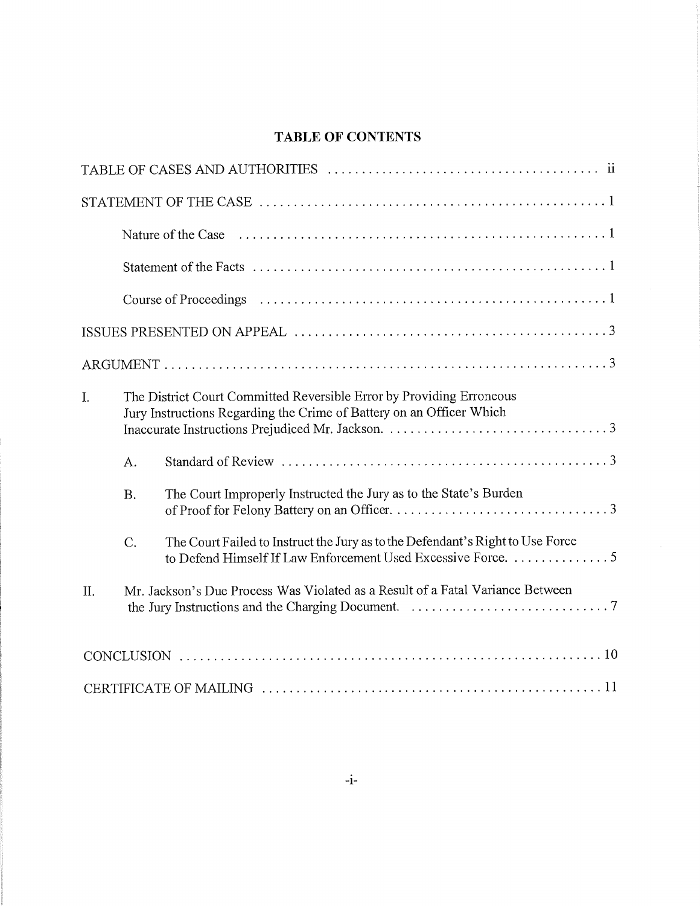# **TABLE OF CONTENTS**

| I.  |           | The District Court Committed Reversible Error by Providing Erroneous<br>Jury Instructions Regarding the Crime of Battery on an Officer Which   |
|-----|-----------|------------------------------------------------------------------------------------------------------------------------------------------------|
|     | A.        |                                                                                                                                                |
|     | <b>B.</b> | The Court Improperly Instructed the Jury as to the State's Burden                                                                              |
|     | C.        | The Court Failed to Instruct the Jury as to the Defendant's Right to Use Force<br>to Defend Himself If Law Enforcement Used Excessive Force. 5 |
| II. |           | Mr. Jackson's Due Process Was Violated as a Result of a Fatal Variance Between                                                                 |
|     |           |                                                                                                                                                |
|     |           |                                                                                                                                                |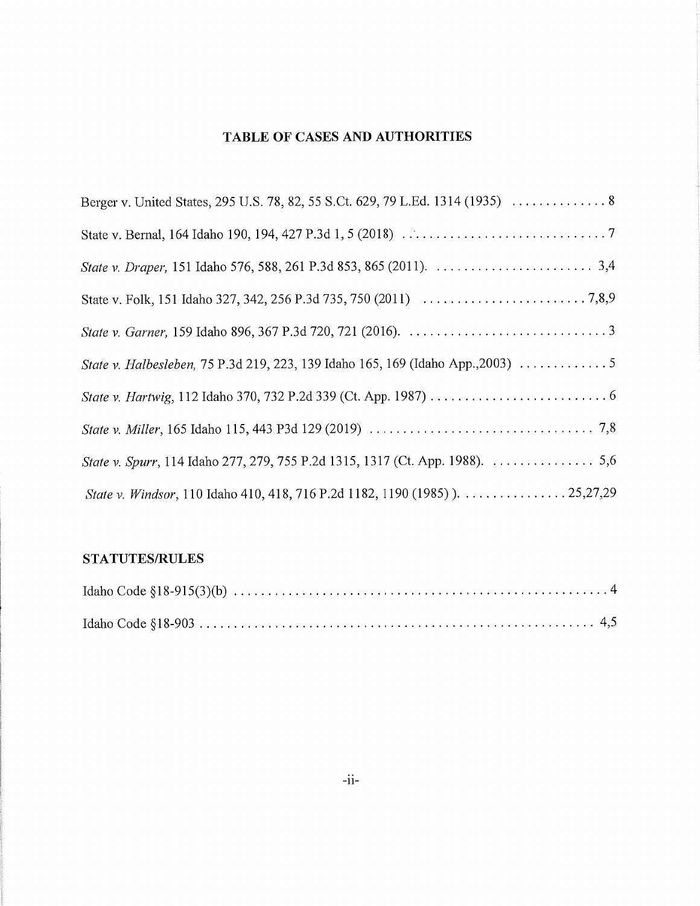## **TABLE OF CASES AND AUTHORITIES**

| Berger v. United States, 295 U.S. 78, 82, 55 S.Ct. 629, 79 L.Ed. 1314 (1935)  8 |
|---------------------------------------------------------------------------------|
|                                                                                 |
|                                                                                 |
|                                                                                 |
|                                                                                 |
| State v. Halbesleben, 75 P.3d 219, 223, 139 Idaho 165, 169 (Idaho App., 2003)   |
|                                                                                 |
|                                                                                 |
| State v. Spurr, 114 Idaho 277, 279, 755 P.2d 1315, 1317 (Ct. App. 1988). 5,6    |
| State v. Windsor, 110 Idaho 410, 418, 716 P.2d 1182, 1190 (1985) ). 25, 27, 29  |

# **STATUTES/RULES**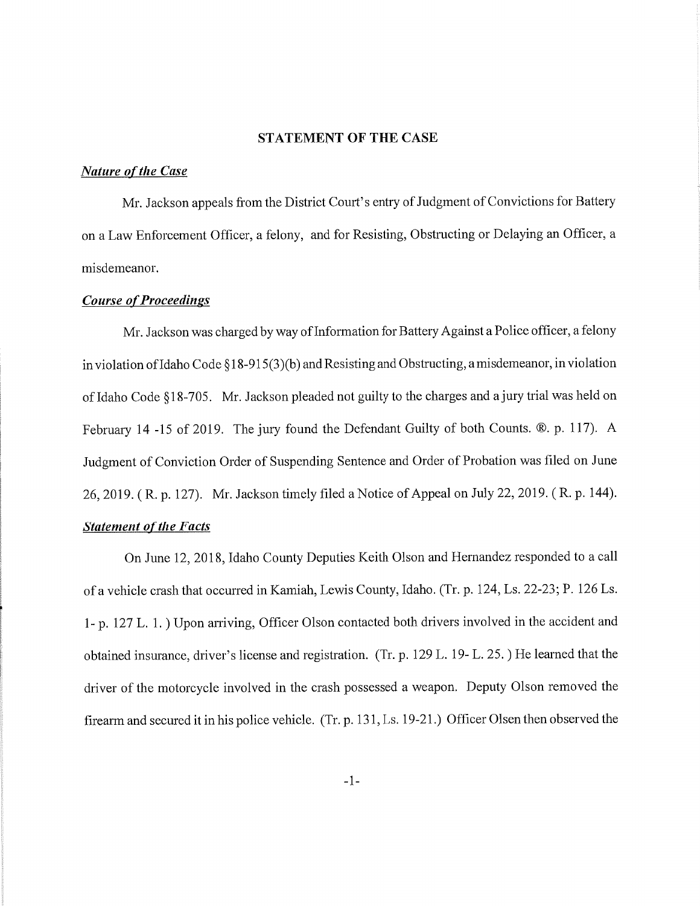#### **STATEMENT OF THE CASE**

#### *Nature of the Case*

Mr. Jackson appeals from the District Court's entry of Judgment of Convictions for Battery on <sup>a</sup>Law Enforcement Officer, a felony, and for Resisting, Obstructing or Delaying an Officer, a misdemeanor.

#### *Course of Proceedings*

Mr. Jackson was charged by way of Information for Battery Against a Police officer, a felony in violation of Idaho Code § 18-915(3)(b) and Resisting and Obstructing, a misdemeanor, in violation of Idaho Code §18-705. Mr. Jackson pleaded not guilty to the charges and a jury trial was held on February 14 -15 of 2019. The jury found the Defendant Guilty of both Counts. ®. p. 117). A Judgment of Conviction Order of Suspending Sentence and Order of Probation was filed on June 26, 2019. ( R. p. 127). Mr. Jackson timely filed a Notice of Appeal on July 22, 2019. ( R. p. 144). *Statement of the Facts* 

On June 12, 2018, Idaho County Deputies Keith Olson and Hernandez responded to a call of a vehicle crash that occuned in Kamiah, Lewis County, Idaho. (Tr. p. 124, Ls. 22-23; P. 126 Ls. 1- p. 127 L. 1.) Upon arriving, Officer Olson contacted both drivers involved in the accident and obtained insurance, driver's license and registration. (Tr. p. 129 L. 19- L. 25.) He learned that the driver of the motorcycle involved in the crash possessed a weapon. Deputy Olson removed the firearm and secured it in his police vehicle. (Tr. p. 131, Ls. 19-21.) Officer Olsen then observed the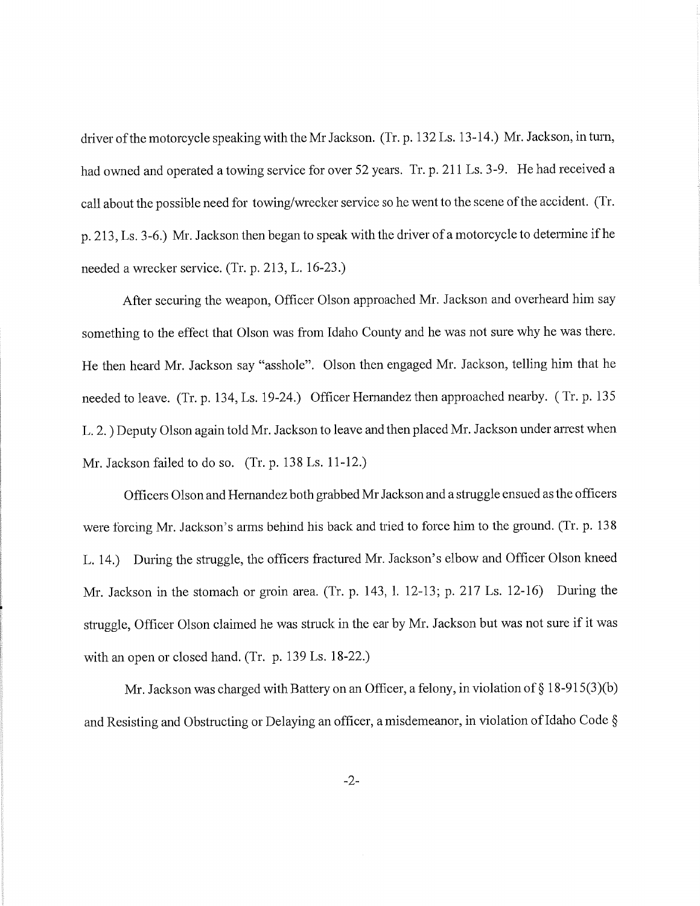driver of the motorcycle speaking with the Mr Jackson. (Tr. p. 132 Ls. 13-14.) Mr. Jackson, in tum, had owned and operated a towing service for over 52 years. Tr. p. 211 Ls. 3-9. He had received a call about the possible need for towing/wrecker service so he went to the scene of the accident. (Tr. p. 213, Ls. 3-6.) Mr. Jackson then began to speak with the driver of a motorcycle to determine ifhe needed a wrecker service. (Tr. p. 213, L. 16-23.)

After securing the weapon, Officer Olson approached Mr. Jackson and overheard him say something to the effect that Olson was from Idaho County and he was not sure why he was there. He then heard Mr. Jackson say "asshole". Olson then engaged Mr. Jackson, telling him that he needed to leave. (Tr. p. 134, Ls. 19-24.) Officer Hernandez then approached nearby. ( Tr. p. 135 L. 2.) Deputy Olson again told Mr. Jackson to leave and then placed Mr. Jackson under arrest when Mr. Jackson failed to do so. (Tr. p. 138 Ls. 11-12.)

Officers Olson and Hernandez both grabbed Mr Jackson and a struggle ensued as the officers were forcing Mr. Jackson's arms behind his back and tried to force him to the ground. (Tr. p. 138 L. 14.) During the struggle, the officers fractured Mr. Jackson's elbow and Officer Olson kneed Mr. Jackson in the stomach or groin area. (Tr. p. 143, 1. 12-13; p. 217 Ls. 12-16) During the struggle, Officer Olson claimed he was struck in the ear by Mr. Jackson but was not sure if it was with an open or closed hand. (Tr. p. 139 Ls. 18-22.)

Mr. Jackson was charged with Battery on an Officer, a felony, in violation of§ 18-915(3)(b) and Resisting and Obstructing or Delaying an officer, a misdemeanor, in violation of Idaho Code §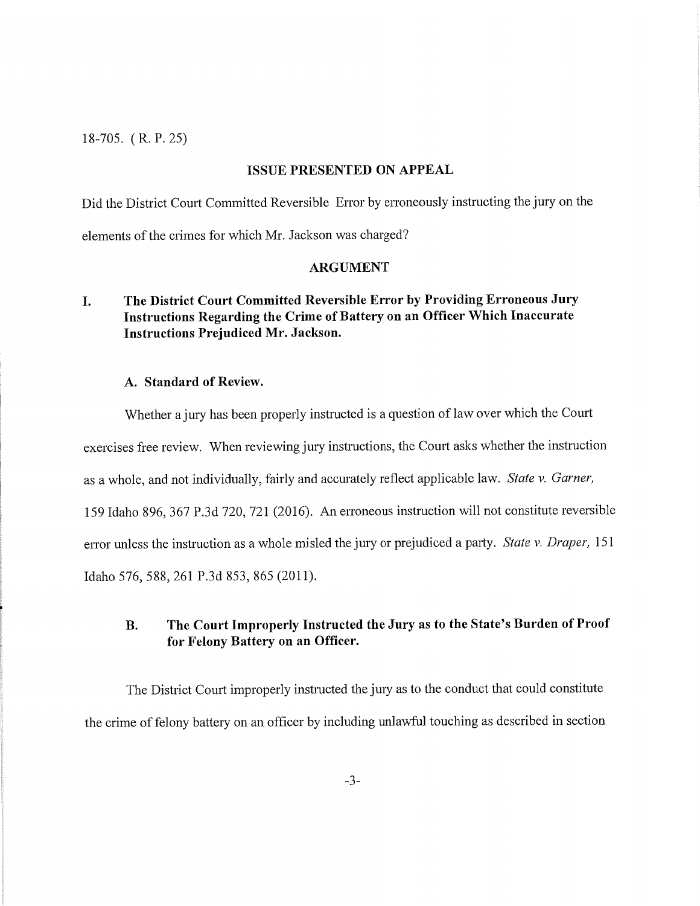18-705. (R.P.25)

#### **ISSUE PRESENTED ON APPEAL**

Did the District Court Committed Reversible Error by erroneously instructing the jury on the elements of the crimes for which Mr. Jackson was charged?

#### **ARGUMENT**

### **I. The District Court Committed Reversible Error by Providing Erroneous Jury Instructions Regarding the Crime of Battery on an Officer Which Inaccurate Instructions Prejudiced Mr. Jackson.**

#### **A. Standard of Review.**

Whether a jury has been properly instructed is a question of law over which the Court exercises free review. When reviewing jury instructions, the Court asks whether the instruction as a whole, and not individually, fairly and accurately reflect applicable law. *State v. Garner,*  159 Idaho 896, 367 P.3d 720, 721 (2016). An erroneous instruction will not constitute reversible error unless the instruction as a whole misled the jury or prejudiced a party. *State v. Draper*, 151 Idaho 576,588,261 P.3d 853, 865 (2011).

### **B. The Court Improperly Instructed the Jury as to the State's Burden of Proof for Felony Battery on an Officer.**

The District Court improperly instructed the jury as to the conduct that could constitute the crime of felony battery on an officer by including unlawful touching as described in section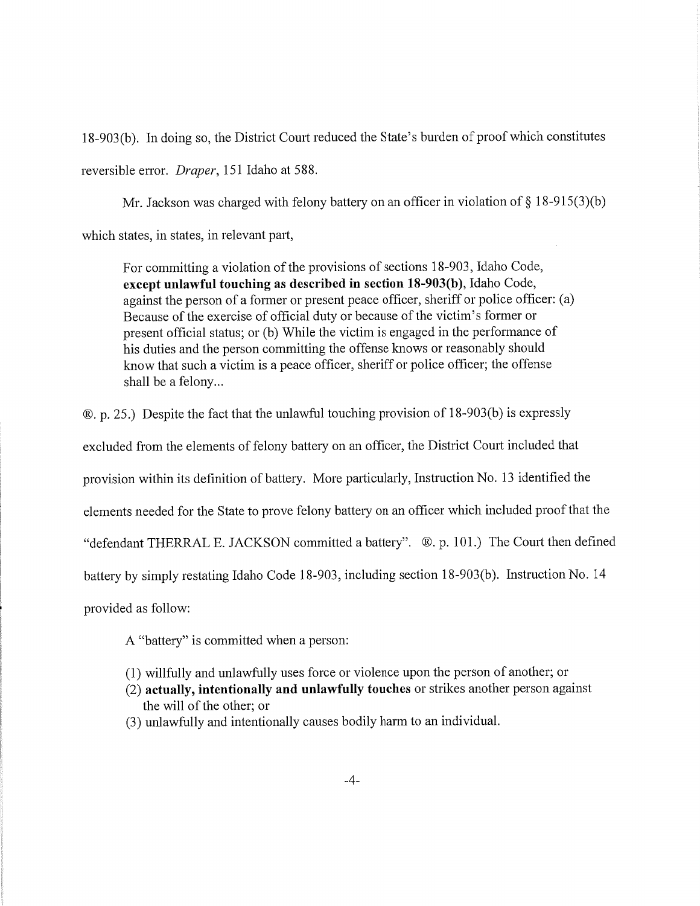18-903(b). In doing so, the District Court reduced the State's burden of proof which constitutes reversible error. *Draper*, 151 Idaho at 588.

Mr. Jackson was charged with felony battery on an officer in violation of  $\S 18-915(3)(b)$ which states, in states, in relevant part,

For committing a violation of the provisions of sections 18-903, Idaho Code, **except unlawful touching as described in section 18-903(b** ), Idaho Code, against the person of a former or present peace officer, sheriff or police officer: (a) Because of the exercise of official duty or because of the victim's former or present official status; or (b) While the victim is engaged in the performance of his duties and the person committing the offense knows or reasonably should know that such a victim is a peace officer, sheriff or police officer; the offense shall be a felony...

®. p. 25.) Despite the fact that the unlawful touching provision of 18-903(b) is expressly

excluded from the elements of felony battery on an officer, the District Court included that

provision within its definition of battery. More particularly, Instruction No. 13 identified the

elements needed for the State to prove felony battery on an officer which included proof that the

"defendant THERRAL E. JACKSON committed a battery". ®. p. 101.) The Court then defined

battery by simply restating Idaho Code 18-903, including section 18-903(b). Instruction No. 14

provided as follow:

A "battery" is committed when a person:

- (1) willfully and unlawfully uses force or violence upon the person of another; or
- (2) **actually, intentionally and unlawfully touches** or strikes another person against the will of the other; or
- (3) unlawfully and intentionally causes bodily harm to an individual.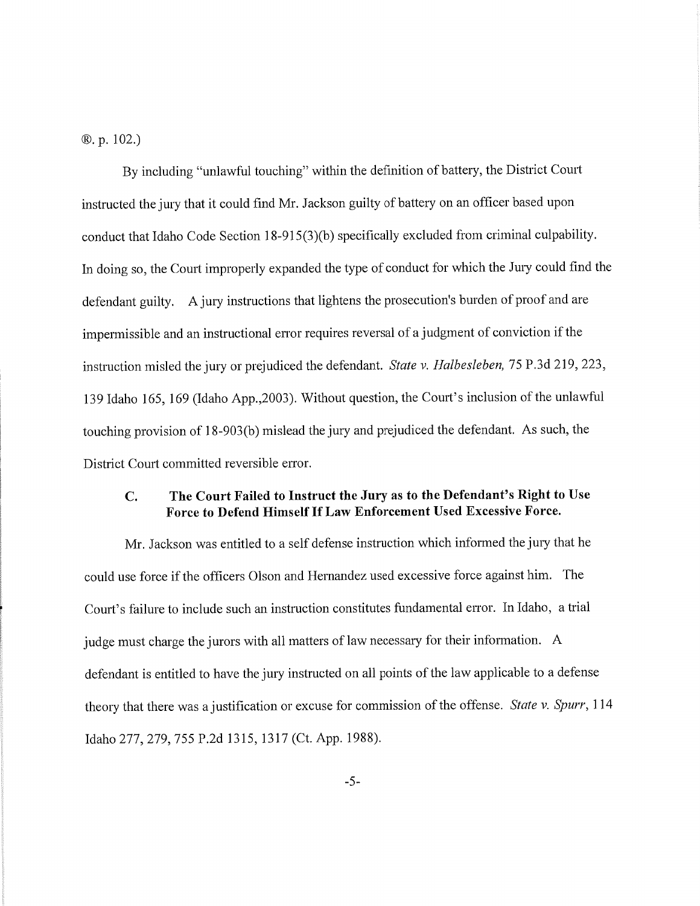®. p. 102.)

By including "unlawful touching" within the definition of battery, the District Court instructed the jury that it could find Mr. Jackson guilty of battery on an officer based upon conduct that Idaho Code Section 18-915(3)(b) specifically excluded from criminal culpability. In doing so, the Court improperly expanded the type of conduct for which the Jury could find the defendant guilty. A jury instructions that lightens the prosecution's burden of proof and are impermissible and an instructional error requires reversal of a judgment of conviction if the instruction misled the jury or prejudiced the defendant. *State v. Halbesleben*, 75 P.3d 219, 223, 139 Idaho 165, 169 (Idaho App., 2003). Without question, the Court's inclusion of the unlawful touching provision of 18-903 (b) mislead the jury and prejudiced the defendant. As such, the District Court committed reversible error.

#### **C. The Court Failed to Instruct the Jury as to the Defendant's Right to Use Force to Defend Himself If Law Enforcement Used Excessive Force.**

Mr. Jackson was entitled to a self defense instruction which informed the jury that he could use force if the officers Olson and Hernandez used excessive force against him. The Court's failure to include such an instruction constitutes fundamental error. In Idaho, a trial judge must charge the jurors with all matters of law necessary for their information. A defendant is entitled to have the jury instructed on all points of the law applicable to a defense themy that there was a justification or excuse for commission of the offense. *State v. Spurr,* <sup>114</sup> Idaho 277,279, 755 P.2d 1315, 1317 (Ct. App. 1988).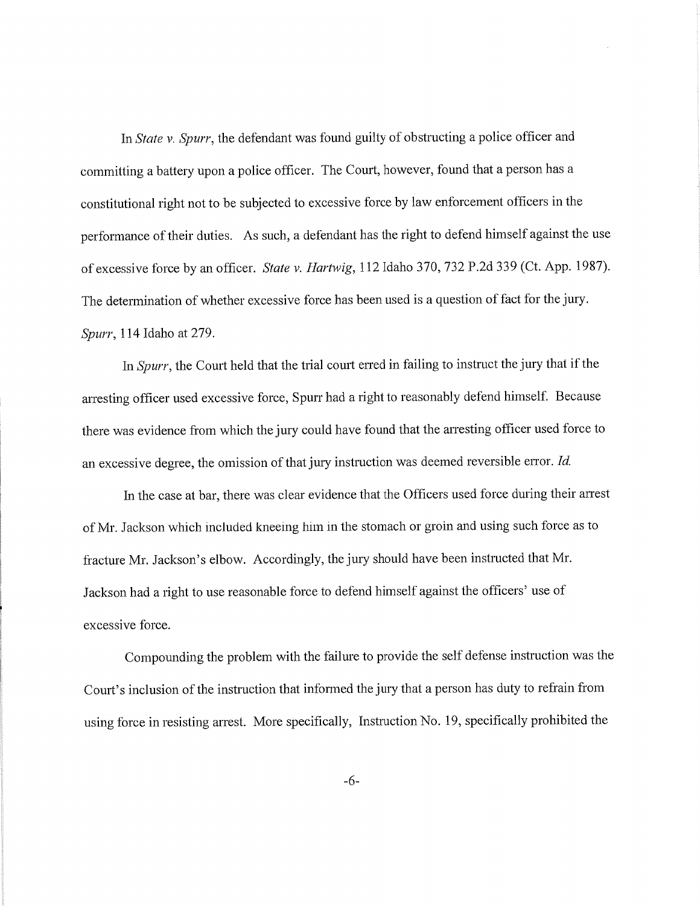In *State v. Spurr,* the defendant was found guilty of obstructing a police officer and committing a battery upon a police officer. The Court, however, found that a person has a constitutional right not to be subjected to excessive force by law enforcement officers in the performance of their duties. As such, a defendant has the right to defend himself against the use of excessive force by an officer. *State v. Hartwig,* 112 Idaho 370, 732 P.2d 339 (Ct. App. 1987). The determination of whether excessive force has been used is a question of fact for the jury. *Spurr,* 114 Idaho at 279.

In *Spurr*, the Court held that the trial court erred in failing to instruct the jury that if the arresting officer used excessive force, Spurr had a right to reasonably defend himself. Because there was evidence from which the jury could have found that the arresting officer used force to an excessive degree, the omission of that jury instruction was deemed reversible error. *Id.* 

In the case at bar, there was clear evidence that the Officers used force during their arrest of Mr. Jackson which included kneeing him in the stomach or groin and using such force as to fracture Mr. Jackson's elbow. Accordingly, the jury should have been instructed that Mr. Jackson had a right to use reasonable force to defend himself against the officers' use of excessive force.

Compounding the problem with the failure to provide the self defense instruction was the Court's inclusion of the instruction that informed the jury that a person has duty to refrain from using force in resisting arrest. More specifically, Instruction No. 19, specifically prohibited the

-6-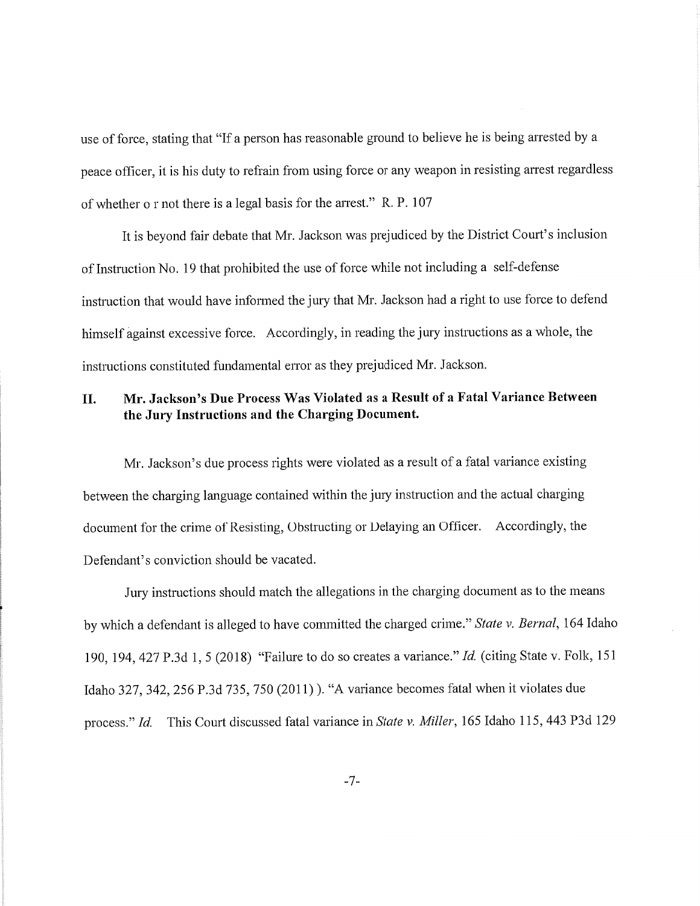use of force, stating that "If a person has reasonable ground to believe he is being arrested by a peace officer, it is his duty to refrain from using force or any weapon in resisting arrest regardless of whether o r not there is a legal basis for the arrest." R. P. 107

It is beyond fair debate that Mr. Jackson was prejudiced by the District Court's inclusion of Instruction No. 19 that prohibited the use of force while not including a self-defense instruction that would have informed the jury that Mr. Jackson had a right to use force to defend himself against excessive force. Accordingly, in reading the jury instructions as a whole, the instructions constituted fundamental error as they prejudiced Mr. Jackson.

## **II. Mr. Jackson's Due Process Was Violated as a Result of a Fatal Variance Between the Jury Instructions and the Charging Document.**

Mr. Jackson's due process rights were violated as a result of a fatal variance existing between the charging language contained within the jury instruction and the actual charging document for the crime of Resisting, Obstructing or Delaying an Officer. Accordingly, the Defendant's conviction should be vacated.

Jury instructions should match the allegations in the charging document as to the means by which a defendant is alleged to have committed the charged crime." *State v. Bernal,* 164 Idaho 190,194,427 P.3d 1, 5 (2018) "Failure to do so creates a variance." *Id.* (citing State v. Folk, 151 Idaho 327,342,256 P.3d 735, 750 (2011) ). "A variance becomes fatal when it violates due process." *Id.* This Court discussed fatal variance in *State v. Miller,* 165 Idaho 115,443 P3d 129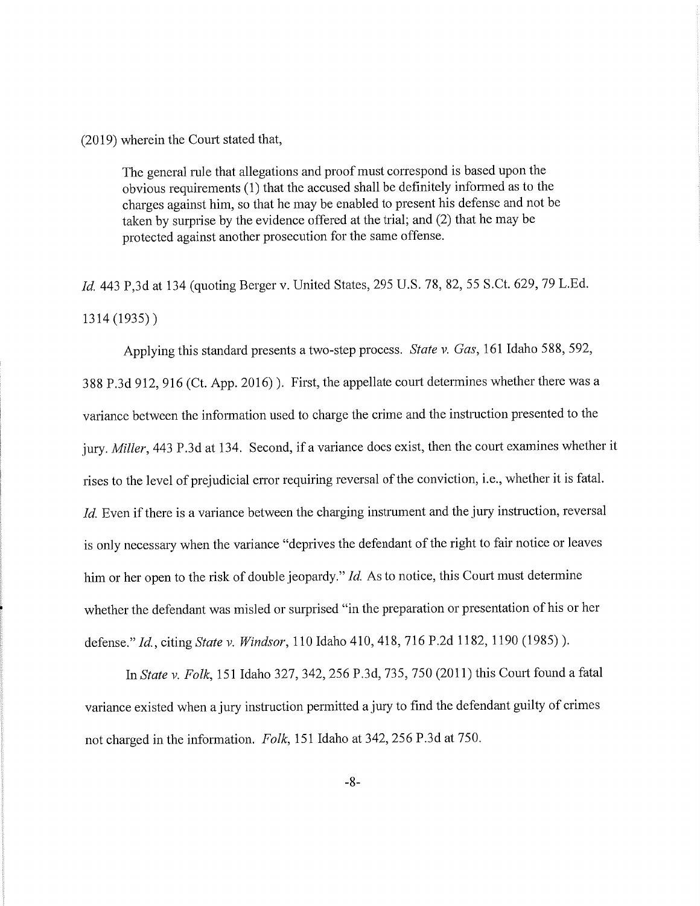(2019) wherein the Court stated that,

The general rule that allegations and proof must correspond is based upon the obvious requirements (1) that the accused shall be definitely informed as to the charges against him, so that he may be enabled to present his defense and not be taken by surprise by the evidence offered at the trial; and (2) that he may be protected against another prosecution for the same offense.

*Id.* 443 P,3d at 134 (quoting Berger v. United States, 295 U.S. 78, 82, 55 S.Ct. 629, 79 L.Ed. 1314 (1935))

Applying this standard presents a two-step process. *State v. Gas,* 161 Idaho 588, 592, 388 P.3d 912, 916 (Ct. App. 2016) ). First, the appellate court determines whether there was a variance between the information used to charge the crime and the instruction presented to the jury. *Miller*, 443 P.3d at 134. Second, if a variance does exist, then the court examines whether it rises to the level of prejudicial error requiring reversal of the conviction, i.e., whether it is fatal. *Id.* Even if there is a variance between the charging instrument and the jury instruction, reversal is only necessary when the variance "deprives the defendant of the right to fair notice or leaves him or her open to the risk of double jeopardy." *Id.* As to notice, this Court must determine whether the defendant was misled or surprised "in the preparation or presentation of his or her defense." *Id.,* citing *State v. Windsor,* 110 Idaho 410,418, 716 P.2d 1182, 1190 (1985) ).

In *State v. Folk,* 151 Idaho 327,342,256 P.3d, 735, 750 (2011) this Comt found a fatal variance existed when a jury instruction permitted a jury to find the defendant guilty of crimes not charged in the information. *Folk,* 151 Idaho at 342,256 P.3d at 750.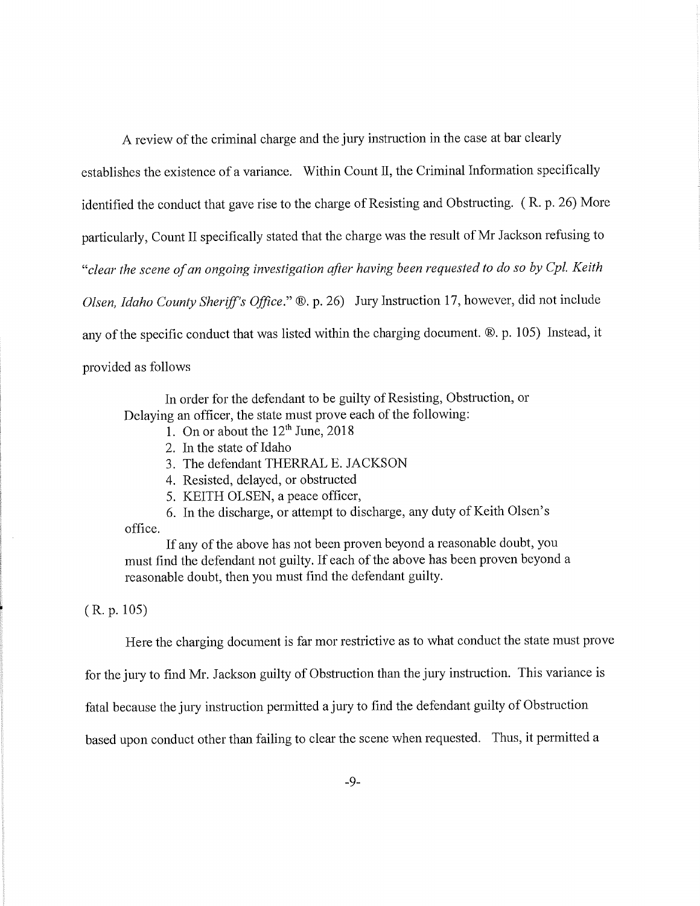A review of the criminal charge and the jury instruction in the case at bar clearly

establishes the existence of a variance. Within Count II, the Criminal Information specifically identified the conduct that gave rise to the charge of Resisting and Obstructing. ( R. p. 26) More particularly, Count II specifically stated that the charge was the result of Mr Jackson refusing to *"clear the scene of an ongoing investigation after having been requested to do so by Cpl. Keith Olsen, Idaho County Sheriff's Office.*" ®. p. 26) Jury Instruction 17, however, did not include any of the specific conduct that was listed within the charging document.®. p. 105) Instead, it provided as follows

In order for the defendant to be guilty of Resisting, Obstruction, or Delaying an officer, the state must prove each of the following:

- 1. On or about the  $12^{th}$  June, 2018
- 2. In the state of Idaho
- 3. The defendant THERRAL E. JACKSON
- 4. Resisted, delayed, or obstructed
- 5. KEITH OLSEN, a peace officer,
- 6. In the discharge, or attempt to discharge, any duty of Keith Olsen's

office.

If any of the above has not been proven beyond a reasonable doubt, you must find the defendant not guilty. If each of the above has been proven beyond a reasonable doubt, then you must find the defendant guilty.

( R. p. 105)

Here the charging document is far mor restrictive as to what conduct the state must prove

for the jury to find Mr. Jackson guilty of Obstruction than the jury instruction. This variance is

fatal because the jury instruction permitted a jury to find the defendant guilty of Obstruction

based upon conduct other than failing to clear the scene when requested. Thus, it permitted a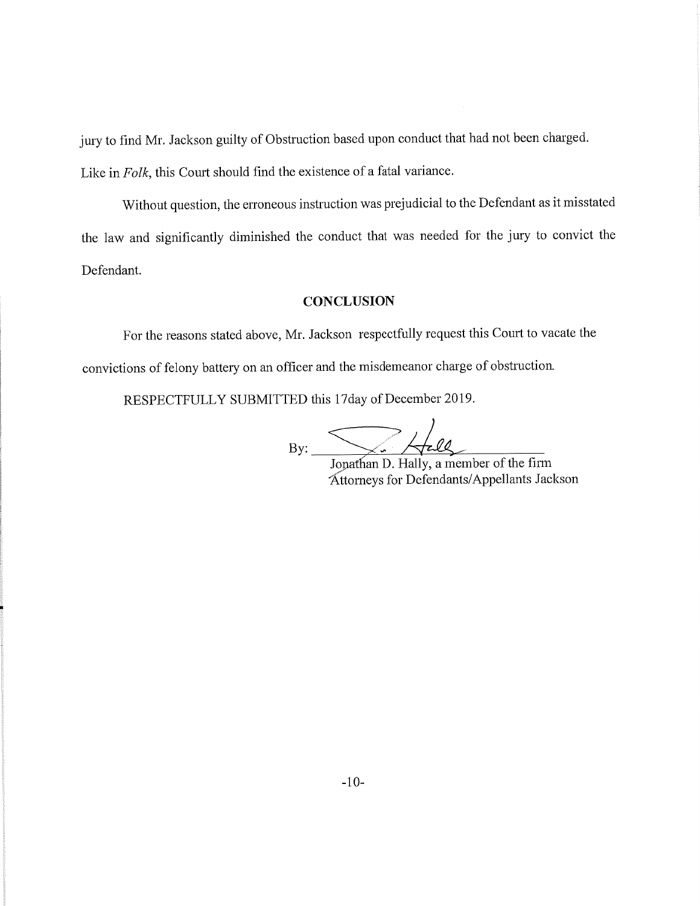jury to find Mr. Jackson guilty of Obstruction based upon conduct that had not been charged. Like in *Folk,* this Court should find the existence of a fatal variance.

Without question, the erroneous instruction was prejudicial to the Defendant as it misstated the law and significantly diminished the conduct that was needed for the jury to convict the Defendant.

#### **CONCLUSION**

For the reasons stated above, Mr. Jackson respectfully request this Court to vacate the convictions of felony battery on an officer and the misdemeanor charge of obstruction.

RESPECTFULLY SUBMITTED this 17 day of December 2019.

 $\bigtriangledown$   $\bigtriangledown$ 

 $\overrightarrow{B}$ . Jopathan D. Hally, a member of the firm Attorneys for Defendants/ Appellants Jackson